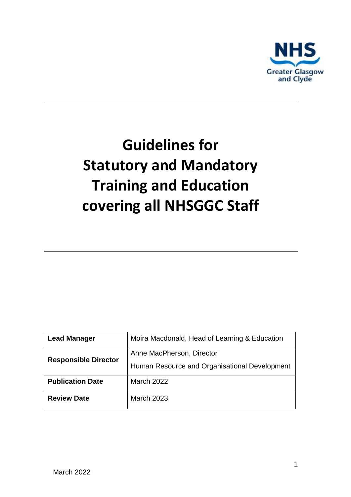

# **Guidelines for Statutory and Mandatory Training and Education covering all NHSGGC Staff**

| <b>Lead Manager</b>         | Moira Macdonald, Head of Learning & Education |
|-----------------------------|-----------------------------------------------|
| <b>Responsible Director</b> | Anne MacPherson, Director                     |
|                             | Human Resource and Organisational Development |
| <b>Publication Date</b>     | March 2022                                    |
| <b>Review Date</b>          | <b>March 2023</b>                             |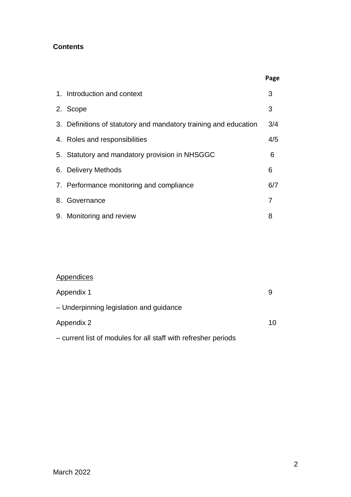### **Contents**

|                                                                  | Page |
|------------------------------------------------------------------|------|
| 1. Introduction and context                                      | 3    |
| 2. Scope                                                         | 3    |
| 3. Definitions of statutory and mandatory training and education | 3/4  |
| 4. Roles and responsibilities                                    | 4/5  |
| 5. Statutory and mandatory provision in NHSGGC                   | 6    |
| 6. Delivery Methods                                              | 6    |
| 7. Performance monitoring and compliance                         | 6/7  |
| 8. Governance                                                    | 7    |
| 9. Monitoring and review                                         | 8    |

## **Appendices**

| Appendix 1                                                     | 9  |
|----------------------------------------------------------------|----|
| - Underpinning legislation and guidance                        |    |
| Appendix 2                                                     | 10 |
| - current list of modules for all staff with refresher periods |    |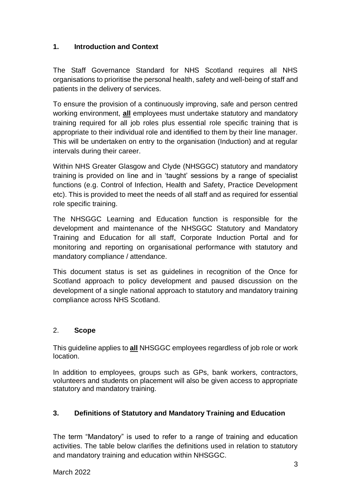#### **1. Introduction and Context**

The Staff Governance Standard for NHS Scotland requires all NHS organisations to prioritise the personal health, safety and well-being of staff and patients in the delivery of services.

To ensure the provision of a continuously improving, safe and person centred working environment, **all** employees must undertake statutory and mandatory training required for all job roles plus essential role specific training that is appropriate to their individual role and identified to them by their line manager. This will be undertaken on entry to the organisation (Induction) and at regular intervals during their career.

Within NHS Greater Glasgow and Clyde (NHSGGC) statutory and mandatory training is provided on line and in 'taught' sessions by a range of specialist functions (e.g. Control of Infection, Health and Safety, Practice Development etc). This is provided to meet the needs of all staff and as required for essential role specific training.

The NHSGGC Learning and Education function is responsible for the development and maintenance of the NHSGGC Statutory and Mandatory Training and Education for all staff, Corporate Induction Portal and for monitoring and reporting on organisational performance with statutory and mandatory compliance / attendance.

This document status is set as guidelines in recognition of the Once for Scotland approach to policy development and paused discussion on the development of a single national approach to statutory and mandatory training compliance across NHS Scotland.

#### 2. **Scope**

This guideline applies to **all** NHSGGC employees regardless of job role or work location.

In addition to employees, groups such as GPs, bank workers, contractors, volunteers and students on placement will also be given access to appropriate statutory and mandatory training.

#### **3. Definitions of Statutory and Mandatory Training and Education**

The term "Mandatory" is used to refer to a range of training and education activities. The table below clarifies the definitions used in relation to statutory and mandatory training and education within NHSGGC.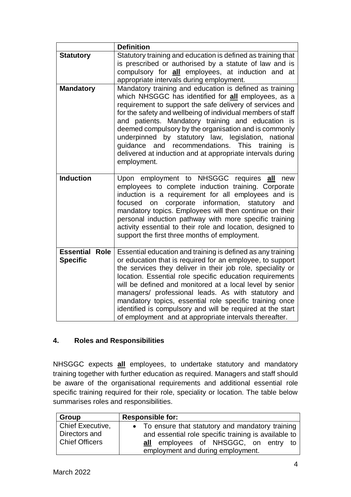|                                          | <b>Definition</b>                                                                                                                                                                                                                                                                                                                                                                                                                                                                                                                                        |
|------------------------------------------|----------------------------------------------------------------------------------------------------------------------------------------------------------------------------------------------------------------------------------------------------------------------------------------------------------------------------------------------------------------------------------------------------------------------------------------------------------------------------------------------------------------------------------------------------------|
| <b>Statutory</b>                         | Statutory training and education is defined as training that<br>is prescribed or authorised by a statute of law and is<br>compulsory for <b>all</b> employees, at induction and at<br>appropriate intervals during employment.                                                                                                                                                                                                                                                                                                                           |
| <b>Mandatory</b>                         | Mandatory training and education is defined as training<br>which NHSGGC has identified for all employees, as a<br>requirement to support the safe delivery of services and<br>for the safety and wellbeing of individual members of staff<br>and patients. Mandatory training and education is<br>deemed compulsory by the organisation and is commonly<br>underpinned by statutory law, legislation, national<br>guidance and recommendations. This<br>training is<br>delivered at induction and at appropriate intervals during<br>employment.         |
| <b>Induction</b>                         | Upon employment to NHSGGC requires all<br>new<br>employees to complete induction training. Corporate<br>induction is a requirement for all employees and is<br>on corporate information, statutory<br>focused<br>and<br>mandatory topics. Employees will then continue on their<br>personal induction pathway with more specific training<br>activity essential to their role and location, designed to<br>support the first three months of employment.                                                                                                 |
| <b>Essential Role</b><br><b>Specific</b> | Essential education and training is defined as any training<br>or education that is required for an employee, to support<br>the services they deliver in their job role, speciality or<br>location. Essential role specific education requirements<br>will be defined and monitored at a local level by senior<br>managers/ professional leads. As with statutory and<br>mandatory topics, essential role specific training once<br>identified is compulsory and will be required at the start<br>of employment and at appropriate intervals thereafter. |

#### **4. Roles and Responsibilities**

NHSGGC expects **all** employees, to undertake statutory and mandatory training together with further education as required. Managers and staff should be aware of the organisational requirements and additional essential role specific training required for their role, speciality or location. The table below summarises roles and responsibilities.

| Group                 | <b>Responsible for:</b>                              |  |
|-----------------------|------------------------------------------------------|--|
| Chief Executive,      | • To ensure that statutory and mandatory training    |  |
| Directors and         | and essential role specific training is available to |  |
| <b>Chief Officers</b> | employees of NHSGGC, on entry to<br>all              |  |
|                       | employment and during employment.                    |  |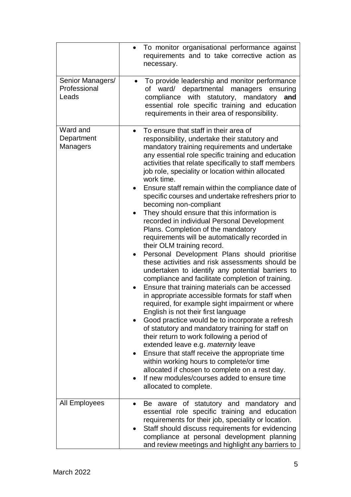|                                           | To monitor organisational performance against<br>$\bullet$<br>requirements and to take corrective action as<br>necessary.                                                                                                                                                                                                                                                                                                                                                                                                                                                                                                                                                                                                                                                                                                                                                                                                                                                                                                                                                                                                                                                                                                                                                                                                                                                                                                                                                                                                                         |
|-------------------------------------------|---------------------------------------------------------------------------------------------------------------------------------------------------------------------------------------------------------------------------------------------------------------------------------------------------------------------------------------------------------------------------------------------------------------------------------------------------------------------------------------------------------------------------------------------------------------------------------------------------------------------------------------------------------------------------------------------------------------------------------------------------------------------------------------------------------------------------------------------------------------------------------------------------------------------------------------------------------------------------------------------------------------------------------------------------------------------------------------------------------------------------------------------------------------------------------------------------------------------------------------------------------------------------------------------------------------------------------------------------------------------------------------------------------------------------------------------------------------------------------------------------------------------------------------------------|
| Senior Managers/<br>Professional<br>Leads | To provide leadership and monitor performance<br>$\bullet$<br>of ward/ departmental managers ensuring<br>with<br>statutory, mandatory<br>compliance<br>and<br>essential role specific training and education<br>requirements in their area of responsibility.                                                                                                                                                                                                                                                                                                                                                                                                                                                                                                                                                                                                                                                                                                                                                                                                                                                                                                                                                                                                                                                                                                                                                                                                                                                                                     |
| Ward and<br>Department<br><b>Managers</b> | To ensure that staff in their area of<br>$\bullet$<br>responsibility, undertake their statutory and<br>mandatory training requirements and undertake<br>any essential role specific training and education<br>activities that relate specifically to staff members<br>job role, speciality or location within allocated<br>work time.<br>Ensure staff remain within the compliance date of<br>specific courses and undertake refreshers prior to<br>becoming non-compliant<br>They should ensure that this information is<br>recorded in individual Personal Development<br>Plans. Completion of the mandatory<br>requirements will be automatically recorded in<br>their OLM training record.<br>Personal Development Plans should prioritise<br>$\bullet$<br>these activities and risk assessments should be<br>undertaken to identify any potential barriers to<br>compliance and facilitate completion of training.<br>Ensure that training materials can be accessed<br>in appropriate accessible formats for staff when<br>required, for example sight impairment or where<br>English is not their first language<br>Good practice would be to incorporate a refresh<br>of statutory and mandatory training for staff on<br>their return to work following a period of<br>extended leave e.g. maternity leave<br>Ensure that staff receive the appropriate time<br>٠<br>within working hours to complete/or time<br>allocated if chosen to complete on a rest day.<br>If new modules/courses added to ensure time<br>allocated to complete. |
| All Employees                             | Be aware of statutory and mandatory and<br>essential role specific training and education<br>requirements for their job, speciality or location.<br>Staff should discuss requirements for evidencing<br>compliance at personal development planning<br>and review meetings and highlight any barriers to                                                                                                                                                                                                                                                                                                                                                                                                                                                                                                                                                                                                                                                                                                                                                                                                                                                                                                                                                                                                                                                                                                                                                                                                                                          |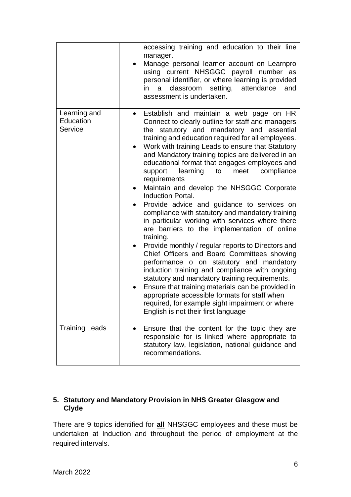|                                      | accessing training and education to their line<br>manager.<br>Manage personal learner account on Learnpro<br>٠<br>using current NHSGGC payroll number as<br>personal identifier, or where learning is provided<br>classroom setting,<br>attendance<br>in<br>a<br>and<br>assessment is undertaken.                                                                                                                                                                                                                                                                                                                                                                                                                                                                                                                                                                                                                                                                                                                                                                                                                                                                                                                                           |
|--------------------------------------|---------------------------------------------------------------------------------------------------------------------------------------------------------------------------------------------------------------------------------------------------------------------------------------------------------------------------------------------------------------------------------------------------------------------------------------------------------------------------------------------------------------------------------------------------------------------------------------------------------------------------------------------------------------------------------------------------------------------------------------------------------------------------------------------------------------------------------------------------------------------------------------------------------------------------------------------------------------------------------------------------------------------------------------------------------------------------------------------------------------------------------------------------------------------------------------------------------------------------------------------|
| Learning and<br>Education<br>Service | Establish and maintain a web page on HR<br>$\bullet$<br>Connect to clearly outline for staff and managers<br>the statutory and mandatory and essential<br>training and education required for all employees.<br>Work with training Leads to ensure that Statutory<br>$\bullet$<br>and Mandatory training topics are delivered in an<br>educational format that engages employees and<br>learning<br>compliance<br>support<br>to<br>meet<br>requirements<br>Maintain and develop the NHSGGC Corporate<br>٠<br><b>Induction Portal.</b><br>Provide advice and guidance to services on<br>٠<br>compliance with statutory and mandatory training<br>in particular working with services where there<br>are barriers to the implementation of online<br>training.<br>Provide monthly / regular reports to Directors and<br>$\bullet$<br>Chief Officers and Board Committees showing<br>performance o on statutory and mandatory<br>induction training and compliance with ongoing<br>statutory and mandatory training requirements.<br>Ensure that training materials can be provided in<br>$\bullet$<br>appropriate accessible formats for staff when<br>required, for example sight impairment or where<br>English is not their first language |
| <b>Training Leads</b>                | Ensure that the content for the topic they are<br>responsible for is linked where appropriate to<br>statutory law, legislation, national guidance and<br>recommendations.                                                                                                                                                                                                                                                                                                                                                                                                                                                                                                                                                                                                                                                                                                                                                                                                                                                                                                                                                                                                                                                                   |

#### **5. Statutory and Mandatory Provision in NHS Greater Glasgow and Clyde**

There are 9 topics identified for **all** NHSGGC employees and these must be undertaken at Induction and throughout the period of employment at the required intervals.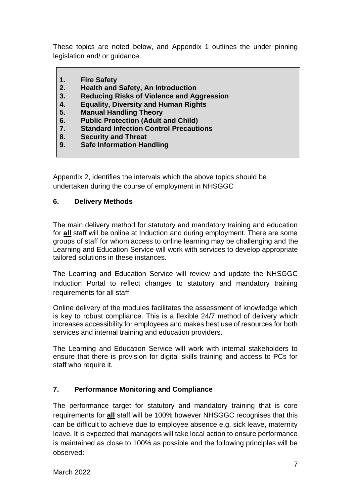These topics are noted below, and Appendix 1 outlines the under pinning legislation and/ or guidance

- **1. Fire Safety**
- **2. Health and Safety, An Introduction**
- **3. Reducing Risks of Violence and Aggression**
- **4. Equality, Diversity and Human Rights**
- **5. Manual Handling Theory**
- **6. Public Protection (Adult and Child)**
- **7. Standard Infection Control Precautions**
- **8. Security and Threat**
- **9. Safe Information Handling**

Appendix 2, identifies the intervals which the above topics should be undertaken during the course of employment in NHSGGC

#### **6. Delivery Methods**

The main delivery method for statutory and mandatory training and education for **all** staff will be online at Induction and during employment. There are some groups of staff for whom access to online learning may be challenging and the Learning and Education Service will work with services to develop appropriate tailored solutions in these instances.

The Learning and Education Service will review and update the NHSGGC Induction Portal to reflect changes to statutory and mandatory training requirements for all staff.

Online delivery of the modules facilitates the assessment of knowledge which is key to robust compliance. This is a flexible 24/7 method of delivery which increases accessibility for employees and makes best use of resources for both services and internal training and education providers.

The Learning and Education Service will work with internal stakeholders to ensure that there is provision for digital skills training and access to PCs for staff who require it.

#### **7. Performance Monitoring and Compliance**

The performance target for statutory and mandatory training that is core requirements for **all** staff will be 100% however NHSGGC recognises that this can be difficult to achieve due to employee absence e.g. sick leave, maternity leave. It is expected that managers will take local action to ensure performance is maintained as close to 100% as possible and the following principles will be observed: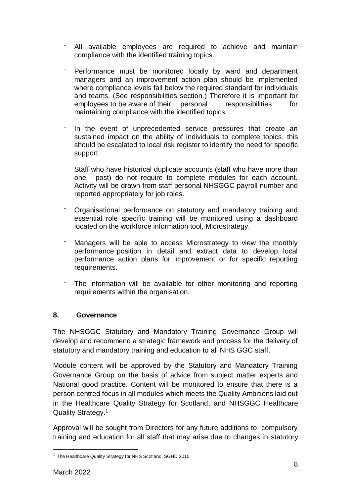- All available employees are required to achieve and maintain compliance with the identified training topics.
- Performance must be monitored locally by ward and department managers and an improvement action plan should be implemented where compliance levels fall below the required standard for individuals and teams. (See responsibilities section.) Therefore it is important for employees to be aware of their personal responsibilities for maintaining compliance with the identified topics.
- In the event of unprecedented service pressures that create an sustained impact on the ability of individuals to complete topics, this should be escalated to local risk register to identify the need for specific support
- Staff who have historical duplicate accounts (staff who have more than one post) do not require to complete modules for each account. Activity will be drawn from staff personal NHSGGC payroll number and reported appropriately for job roles.
- ⁻ Organisational performance on statutory and mandatory training and essential role specific training will be monitored using a dashboard located on the workforce information tool, Microstrategy.
- Managers will be able to access Microstrategy to view the monthly performance position in detail and extract data to develop local performance action plans for improvement or for specific reporting requirements.
- The information will be available for other monitoring and reporting requirements within the organisation.

#### **8. Governance**

The NHSGGC Statutory and Mandatory Training Governance Group will develop and recommend a strategic framework and process for the delivery of statutory and mandatory training and education to all NHS GGC staff.

Module content will be approved by the Statutory and Mandatory Training Governance Group on the basis of advice from subject matter experts and National good practice. Content will be monitored to ensure that there is a person centred focus in all modules which meets the Quality Ambitions laid out in the Healthcare Quality Strategy for Scotland, and NHSGGC Healthcare Quality Strategy.<sup>1</sup>

Approval will be sought from Directors for any future additions to compulsory training and education for all staff that may arise due to changes in statutory

1

<sup>&</sup>lt;sup>1</sup> The Healthcare Quality Strategy for NHS Scotland, SGHD 2010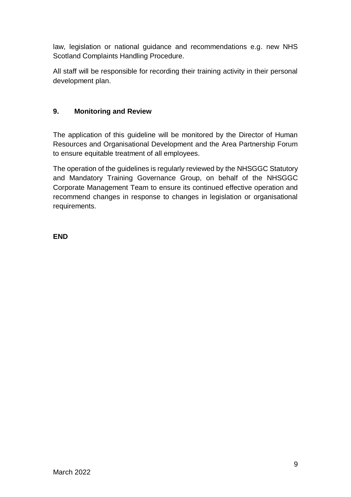law, legislation or national guidance and recommendations e.g. new NHS Scotland Complaints Handling Procedure.

All staff will be responsible for recording their training activity in their personal development plan.

## **9. Monitoring and Review**

The application of this guideline will be monitored by the Director of Human Resources and Organisational Development and the Area Partnership Forum to ensure equitable treatment of all employees.

The operation of the guidelines is regularly reviewed by the NHSGGC Statutory and Mandatory Training Governance Group, on behalf of the NHSGGC Corporate Management Team to ensure its continued effective operation and recommend changes in response to changes in legislation or organisational requirements.

**END**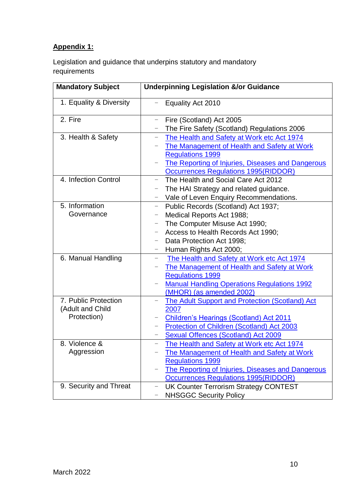# **Appendix 1:**

Legislation and guidance that underpins statutory and mandatory requirements

| <b>Mandatory Subject</b> | <b>Underpinning Legislation &amp;/or Guidance</b>                      |
|--------------------------|------------------------------------------------------------------------|
| 1. Equality & Diversity  | Equality Act 2010                                                      |
| 2. Fire                  | Fire (Scotland) Act 2005                                               |
|                          | The Fire Safety (Scotland) Regulations 2006                            |
| 3. Health & Safety       | The Health and Safety at Work etc Act 1974<br>-                        |
|                          | The Management of Health and Safety at Work                            |
|                          | <b>Regulations 1999</b>                                                |
|                          | The Reporting of Injuries, Diseases and Dangerous                      |
|                          | <b>Occurrences Regulations 1995(RIDDOR)</b>                            |
| 4. Infection Control     | The Health and Social Care Act 2012<br>$\overline{\phantom{0}}$        |
|                          | The HAI Strategy and related guidance.<br>$\qquad \qquad -$            |
|                          | Vale of Leven Enquiry Recommendations.                                 |
| 5. Information           | Public Records (Scotland) Act 1937;<br>$\overline{\phantom{m}}$        |
| Governance               | Medical Reports Act 1988;<br>$\overline{\phantom{0}}$                  |
|                          | The Computer Misuse Act 1990;<br>$\qquad \qquad -$                     |
|                          | Access to Health Records Act 1990;                                     |
|                          | Data Protection Act 1998;                                              |
|                          | Human Rights Act 2000;                                                 |
| 6. Manual Handling       | The Health and Safety at Work etc Act 1974<br>$\overline{\phantom{0}}$ |
|                          | The Management of Health and Safety at Work                            |
|                          | <b>Regulations 1999</b>                                                |
|                          | <b>Manual Handling Operations Regulations 1992</b><br>-                |
|                          | (MHOR) (as amended 2002)                                               |
| 7. Public Protection     | <b>The Adult Support and Protection (Scotland) Act</b>                 |
| (Adult and Child         | 2007                                                                   |
| Protection)              | <b>Children's Hearings (Scotland) Act 2011</b>                         |
|                          | <b>Protection of Children (Scotland) Act 2003</b><br>-                 |
|                          | Sexual Offences (Scotland) Act 2009                                    |
| 8. Violence &            | The Health and Safety at Work etc Act 1974                             |
| Aggression               | The Management of Health and Safety at Work                            |
|                          | <b>Regulations 1999</b>                                                |
|                          | The Reporting of Injuries, Diseases and Dangerous                      |
|                          | Occurrences Regulations 1995(RIDDOR)                                   |
| 9. Security and Threat   | <b>UK Counter Terrorism Strategy CONTEST</b><br>$\qquad \qquad -$      |
|                          | <b>NHSGGC Security Policy</b><br>-                                     |